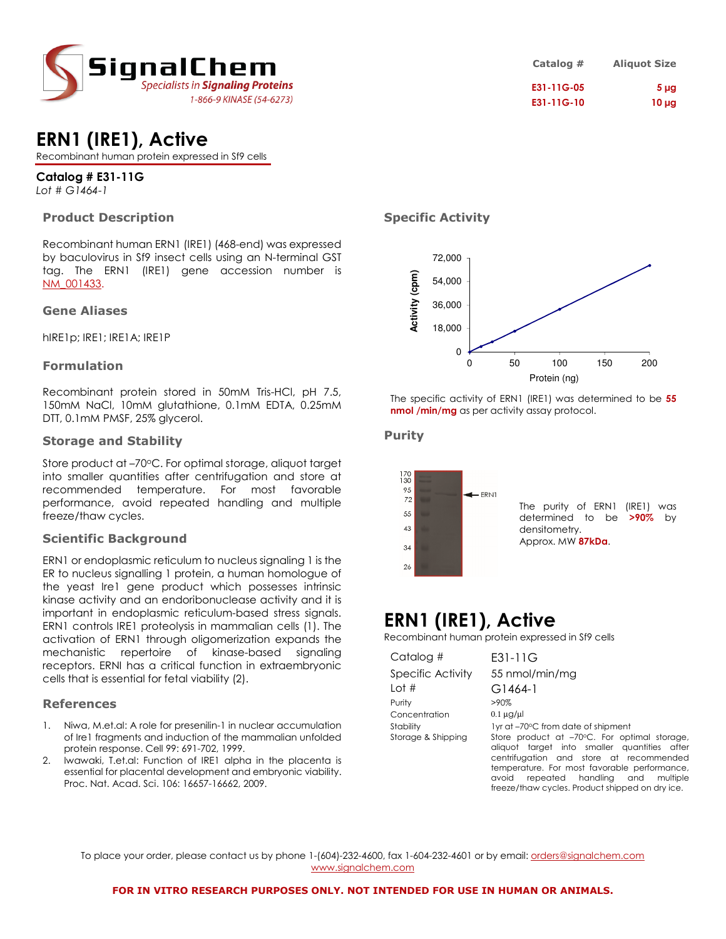

| Catalog #  | <b>Aliquot Size</b> |
|------------|---------------------|
| E31-11G-05 | 5 <sub>µq</sub>     |
| E31-11G-10 | $10 \mu$ g          |

# **ERN1 (IRE1), Active**

Recombinant human protein expressed in Sf9 cells

# **Catalog # E31-11G**

*Lot # G1464-1*

# **Product Description**

Recombinant human ERN1 (IRE1) (468-end) was expressed by baculovirus in Sf9 insect cells using an N-terminal GST tag. The ERN1 (IRE1) gene accession number is NM\_001433.

### **Gene Aliases**

hIRE1p; IRE1; IRE1A; IRE1P

# **Formulation**

Recombinant protein stored in 50mM Tris-HCl, pH 7.5, 150mM NaCl, 10mM glutathione, 0.1mM EDTA, 0.25mM DTT, 0.1mM PMSF, 25% glycerol.

### **Storage and Stability**

Store product at -70°C. For optimal storage, aliquot target into smaller quantities after centrifugation and store at recommended temperature. For most favorable performance, avoid repeated handling and multiple freeze/thaw cycles.

# **Scientific Background**

ERN1 or endoplasmic reticulum to nucleus signaling 1 is the ER to nucleus signalling 1 protein, a human homologue of the yeast Ire1 gene product which possesses intrinsic kinase activity and an endoribonuclease activity and it is important in endoplasmic reticulum-based stress signals. ERN1 controls IRE1 proteolysis in mammalian cells (1). The activation of ERN1 through oligomerization expands the mechanistic repertoire of kinase-based signaling receptors. ERNI has a critical function in extraembryonic cells that is essential for fetal viability (2).

# **References**

- 1. Niwa, M.et.al: A role for presenilin-1 in nuclear accumulation of Ire1 fragments and induction of the mammalian unfolded protein response. Cell 99: 691-702, 1999.
- Iwawaki, T.et.al: Function of IRE1 alpha in the placenta is essential for placental development and embryonic viability. Proc. Nat. Acad. Sci. 106: 16657-16662, 2009.

# **Specific Activity**



The specific activity of ERN1 (IRE1) was determined to be **55 nmol /min/mg** as per activity assay protocol.

# **Purity**



# **ERN1 (IRE1), Active**

Recombinant human protein expressed in Sf9 cells

| Catalog #          | E31-11G                                         |
|--------------------|-------------------------------------------------|
| Specific Activity  | 55 nmol/min/mg                                  |
| Lot $#$            | G1464-1                                         |
| Purity             | $>90\%$                                         |
| Concentration      | $0.1 \mu g/\mu$                                 |
| Stability          | 1yr at -70°C from date of shipment              |
| Storage & Shipping | Store product at -70°C. For optimal storage,    |
|                    | aliquot target into smaller quantities after    |
|                    | centrifugation and store at recommended         |
|                    | temperature. For most favorable performance,    |
|                    | repeated handling and<br>avoid<br>multiple      |
|                    | freeze/thaw cycles. Product shipped on dry ice. |

To place your order, please contact us by phone 1-(604)-232-4600, fax 1-604-232-4601 or by email: orders@signalchem.com www.signalchem.com